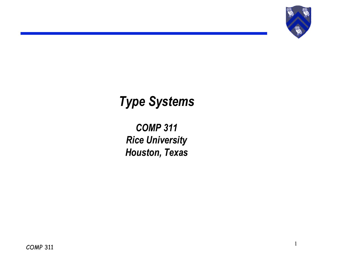

*COMP 311 Rice University Houston, Texas*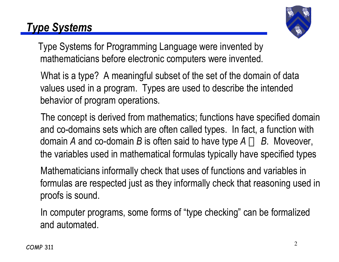

Type Systems for Programming Language were invented by mathematicians before electronic computers were invented.

 What is a type? A meaningful subset of the set of the domain of data values used in a program. Types are used to describe the intended behavior of program operations.

 The concept is derived from mathematics; functions have specified domain and co-domains sets which are often called types. In fact, a function with domain *A* and co-domain *B* is often said to have type  $A \rightarrow B$ . Moveover, the variables used in mathematical formulas typically have specified types

 Mathematicians informally check that uses of functions and variables in formulas are respected just as they informally check that reasoning used in proofs is sound.

 In computer programs, some forms of "type checking" can be formalized and automated.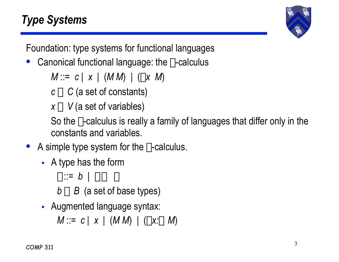

Foundation: type systems for functional languages

Canonical functional language: the  $\lambda$ -calculus

*M* ::= *c* | *x* | (*M M*) | ( $\lambda$ *x M*)

 $c \in C$  (a set of constants)

 $x \in V$  (a set of variables)

So the  $\lambda$ -calculus is really a family of languages that differ only in the constants and variables.

- A simple type system for the  $\lambda$ -calculus.
	- A type has the form

 $\tau ::= b \mid \tau \rightarrow \tau$ 

- $b \in B$  (a set of base types)
- Augmented language syntax:

*M* ::= *c* | *x* | (*M M*) | ( $\lambda x : \tau M$ )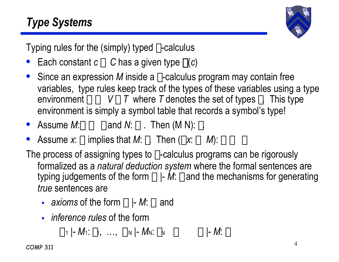

Typing rules for the (simply) typed  $\lambda$ -calculus

- Each constant  $c \in C$  has a given type  $\chi(c)$
- Since an expression M inside a  $\lambda$ -calculus program may contain free variables, type rules keep track of the types of these variables using a type environment  $\Gamma \subseteq V \times T$  where T denotes the set of types  $\tau$ . This type environment is simply a symbol table that records a symbol's type!
- Assume  $M:\sigma\to\tau$  and  $N:\sigma$ . Then  $(M\ N):\tau$ .
- Assume *x*:  $\sigma$  implies that *M*:  $\tau$ . Then ( $\lambda x$ :  $\sigma$  *M*):  $\sigma \rightarrow \tau$

The process of assigning types to  $\lambda$ -calculus programs can be rigorously formalized as a *natural deduction system* where the formal sentences are typing judgements of the form  $\Gamma$  |- *M*:  $\tau$  and the mechanisms for generating *true* sentences are

- *axioms* of the form  $\Gamma$  |- *M*:  $\tau$  and
- *inference rules* of the form

 $\Gamma_1$  |-  $M_1$ :  $\tau_1$ , ...,  $\Gamma_N$  |-  $M_N$ :  $\tau_N \implies \Gamma$  |-  $M: \tau$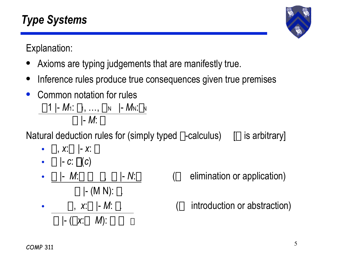Explanation:

- Axioms are typing judgements that are manifestly true.
- Inference rules produce true consequences given true premises
- Common notation for rules  $\Gamma$ 1 |- *M*<sub>1</sub>:  $\tau$ <sub>1</sub>, ...,  $\Gamma$ <sub>N</sub> |- *M*<sub>N</sub>: $\tau$ <sub>N</sub>  $\Gamma$  |- *M*:  $\tau$

Natural deduction rules for (simply typed  $\lambda$ -calculus) [ $\Gamma$  is arbitrary]

- $\Gamma$ , *x*: $\tau$  |- *x*:  $\tau$
- $\Gamma$  |- *c*:  $\chi(c)$
- $\Gamma$  |- (M N):  $\tau$ .
- $\Gamma$  |-  $M:\sigma \to \tau$ ,  $\Gamma$  |-  $M:\sigma$  ( $\to$  elimination or application)
- $\Gamma$  |- ( $\lambda$ *x*: $\sigma$  *M*):  $\sigma \rightarrow \tau$
- $\Gamma$ ,  $x:\sigma$  |- *M*:  $\tau$ .  $\longrightarrow$  introduction or abstraction)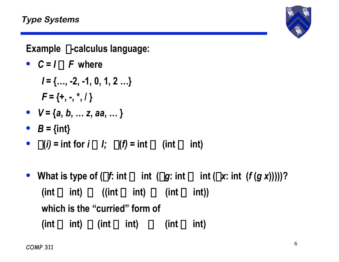**Example** l**-calculus language:**

•  $C = I \cup F$  where

$$
I = \{..., -2, -1, 0, 1, 2 ...\}
$$
  

$$
F = \{+, -, *, / \}
$$

- $V = \{a, b, \dots z, aa, \dots \}$
- $B = \{int\}$
- $\chi(i) = \text{int for } i \in I; \quad \chi(f) = \text{int} \to (\text{int} \to \text{int})$
- What is type of  $(\lambda f: \text{int} \rightarrow \text{int } (\lambda g: \text{int} \rightarrow \text{int } (\lambda x: \text{int } (f(g x))))$ ?  $(int \rightarrow int) \rightarrow ((int \rightarrow int) \rightarrow (int)$ **which is the "curried" form of**  $(int \rightarrow int) \times (int \rightarrow int) \rightarrow (int \rightarrow int)$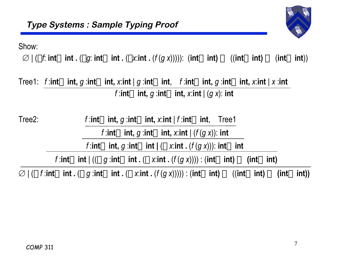

Show:

 $\varnothing$  | ( $\lambda$ f: **int** $\rightarrow$ **int** . ( $\lambda$ *g*: **int** $\rightarrow$ **int** . ( $\lambda$ *x*:**int** . ( $f$ ( $g$ *x*))))): (**int** $\rightarrow$ **int**)  $\rightarrow$  ((**int** $\rightarrow$ **int**)  $\rightarrow$  (**int** $\rightarrow$ **int**))

Tree1: f:int $\rightarrow$ int, g:int $\rightarrow$ int, x:int | g:int $\rightarrow$ int, f:int $\rightarrow$ int, g:int $\rightarrow$ int, x:int | x:int  $f$ :**int** $\rightarrow$ **int**,  $g$ :**int** $\rightarrow$ **int**,  $x$ :**int**  $|$   $(g x)$ : **int** 

Tree2:  $f : \text{int} \rightarrow \text{int}, g : \text{int} \rightarrow \text{int}, x : \text{int} \mid f : \text{int} \rightarrow \text{int}, T \text{ref}$ 

 $f$ :**int** $\rightarrow$ **int**,  $g$ :**int** $\rightarrow$ **int**,  $x$ :**int** | ( $f$ ( $g$   $x$ )): **int** 

*f*:**int** $\rightarrow$ **int**, *g*:**int** $\rightarrow$ **int**  $|$  ( $\lambda$  x:**int**  $\cdot$  (*f* (*g* x))): **int** $\rightarrow$ **int** 

*f*:**int** $\rightarrow$ **int**  $| ((\lambda g : \text{int} \rightarrow \text{int} \cdot (\lambda x : \text{int} \cdot (f(g x)))) : (\text{int} \rightarrow \text{int} \cdot \rightarrow \text{int} \cdot \cdot \cdot \cdot)$ 

 $\emptyset$  | ( $\lambda$  f :int→int . ( $\lambda$  g :int→int . ( $\lambda$  x:int . ( $f(g x)$ )))) : (int→int) → ((int→int) → (int→int))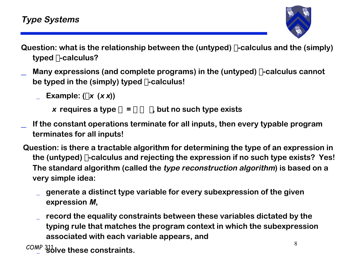- **Question: what is the relationship between the (untyped)** l**-calculus and the (simply) typed** l**-calculus?**
- \_ **Many expressions (and complete programs) in the (untyped)** l**-calculus cannot be typed in the (simply) typed** l**-calculus!**
	- **Example:**  $(\lambda x \, (x \, x))$ 
		- **x** requires a type  $\sigma = \sigma \rightarrow \tau$ , but no such type exists
- \_ **If the constant operations terminate for all inputs, then every typable program terminates for all inputs!**
- **Question: is there a tractable algorithm for determining the type of an expression in the (untyped)** l**-calculus and rejecting the expression if no such type exists? Yes! The standard algorithm (called the type reconstruction algorithm) is based on a very simple idea:**
	- \_ **generate a distinct type variable for every subexpression of the given expression M,**
	- \_ **record the equality constraints between these variables dictated by the typing rule that matches the program context in which the subexpression associated with each variable appears, and**
	- $COMP$   $311$   $100$  these constraints \_ **solve these constraints.**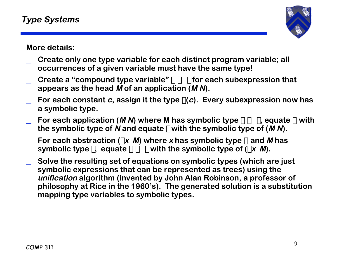

**More details:**

- \_ **Create only one type variable for each distinct program variable; all occurrences of a given variable must have the same type!**
- Create a "compound type variable"  $\sigma \rightarrow \tau$  for each subexpression that **appears as the head M of an application (M N).**
- For each constant  $c$ , assign it the type  $\chi(c)$ . Every subexpression now has **a symbolic type.**
- For each application (M N) where M has symbolic type  $\sigma \rightarrow \tau$ , equate  $\sigma$  with the symbolic type of N and equate  $\tau$  with the symbolic type of  $(M N)$ .
- For each abstraction ( $\lambda$ **x** *M*) where *x* **has symbolic type**  $\sigma$  **and** *M* **has symbolic type**  $\tau$ , equate  $\sigma \rightarrow \tau$  with the symbolic type of ( $\lambda$ **x** *M*).
- \_ **Solve the resulting set of equations on symbolic types (which are just symbolic expressions that can be represented as trees) using the unification algorithm (invented by John Alan Robinson, a professor of philosophy at Rice in the 1960's). The generated solution is a substitution mapping type variables to symbolic types.**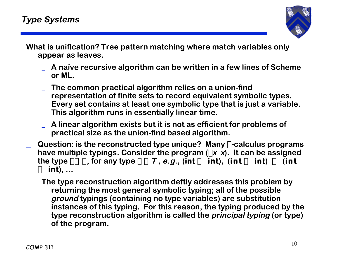

**What is unification? Tree pattern matching where match variables only appear as leaves.**

- \_ **A naïve recursive algorithm can be written in a few lines of Scheme or ML.**
- \_ **The common practical algorithm relies on a union-find representation of finite sets to record equivalent symbolic types. Every set contains at least one symbolic type that is just a variable. This algorithm runs in essentially linear time.**
- \_ **A linear algorithm exists but it is not as efficient for problems of practical size as the union-find based algorithm.**
- \_ **Question: is the reconstructed type unique? Many** l**-calculus programs** have multiple typings. Consider the program  $(\lambda x \times x)$ . It can be assigned the type  $\sigma \rightarrow \sigma$ , for any type  $\sigma \in \mathcal{T}$ , e.g., (int  $\rightarrow$  int), (int  $\rightarrow$  int)  $\rightarrow$  (int  $\rightarrow$  **int**), ...
	- **The type reconstruction algorithm deftly addresses this problem by returning the most general symbolic typing; all of the possible ground typings (containing no type variables) are substitution instances of this typing. For this reason, the typing produced by the type reconstruction algorithm is called the principal typing (or type) of the program.**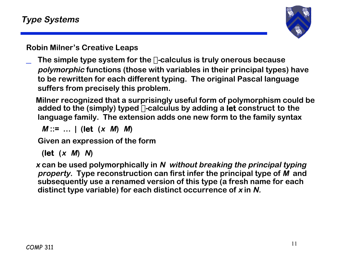

**Robin Milner's Creative Leaps**

\_ **The simple type system for the** l**-calculus is truly onerous because polymorphic functions (those with variables in their principal types) have to be rewritten for each different typing. The original Pascal language suffers from precisely this problem.**

 **Milner recognized that a surprisingly useful form of polymorphism could be** added to the (simply) typed  $\lambda$ -calculus by adding a let construct to the **language family. The extension adds one new form to the family syntax**

 $M := ...$  | (let  $(x, M)$  *M*)

 **Given an expression of the form**

**(let (x M) N)**

**<sup>x</sup>can be used polymorphically in N without breaking the principal typing property. Type reconstruction can first infer the principal type of M and subsequently use a renamed version of this type (a fresh name for each distinct type variable) for each distinct occurrence of x in N.**